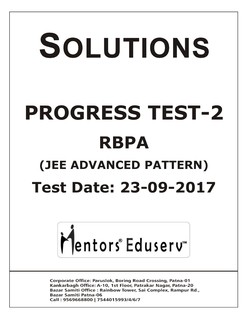# SOLUTIONS **PROGRESS TEST-2 RBPA (JEE ADVANCED PATTERN) Test Date: 23-09-2017**



**Corporate Office: Paruslok, Boring Road Crossing, Patna-01** Kankarbagh Office: A-10, 1st Floor, Patrakar Nagar, Patna-20 Bazar Samiti Office: Rainbow Tower, Sai Complex, Rampur Rd., **Bazar Samiti Patna-06** Call: 9569668800 | 7544015993/4/6/7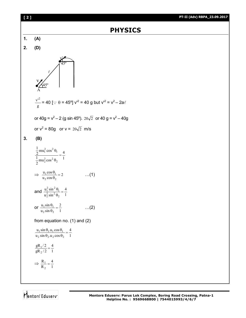

Mentors Eduserv<sup>-</sup>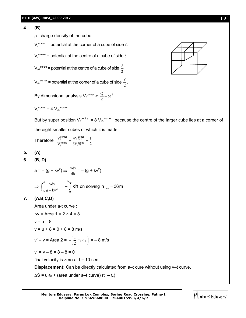# **4. (B)**

 $p$ - charge density of the cube

 $V_{\ell}^{\text{corner}}$  = potential at the corner of a cube of side  $\ell$ .

$$
V_{\ell}^{\text{centre}}
$$
 = potential at the centre of a cube of side  $\ell$ .

$$
V_{\text{d2}}^{\text{centre}}
$$
 = potential at the centre of a cube of side  $\frac{\ell}{2}$ .

$$
V_{\text{d2}}^{\text{corner}}
$$
 = potential at the corner of a cube of side  $\frac{\ell}{2}$ 

By dimensional analysis V $\ell^{\text{corner}} \propto \frac{Q}{\ell} = \rho \ell^2$ 

$$
V_{\ell}^{\text{corner}} = 4 V_{\ell/2}^{\text{corner}}
$$

But by super position  $V_{\ell}^{center} = 8 V_{\ell 2}^{corner}$  because the centre of the larger cube lies at a corner of the eight smaller cubes of which it is made

.

Therefore 
$$
\frac{V_{\ell}^{\text{corner}}}{V_{\ell}^{\text{center}}} = \frac{4V_{\ell/2}^{\text{corner}}}{8V_{\ell/2}^{\text{center}}} = \frac{1}{2}
$$

**5. (A)**

$$
6. (B, D)
$$

$$
a = -(g + kv^2) \Rightarrow \frac{vdv}{dh} = -(g + kv^2)
$$

$$
\Rightarrow \int_{v_0}^{0} \frac{v dv}{g + kv^2} = -\int_{0}^{h_{\text{max}}} dh \text{ on solving } h_{\text{max}} = 36 \text{ m}
$$

# **7. (A.B,C,D)**

Area under a-t curve :

$$
\Delta v = \text{Area } 1 = 2 \times 4 = 8
$$

$$
v - u = 8
$$

 $v = u + 8 = 0 + 8 = 8$  m/s

$$
v' - v =
$$
Area 2 =  $-\left(\frac{1}{2} \times 8 \times 2\right) = -8$  m/s

$$
v' = v - 8 = 8 - 8 = 0
$$

final velocity is zero at  $t = 10$  sec

**Displacement:** Can be directly calculated from a–t cure without using v–t curve.

 $\Delta S = u_0 t_0 + (area under a-t curve) (t_0 - t_c)$ 

$$
\big|\bigwedge^2\mathsf{entors}^*\,\mathsf{Eduserv}^*\big|
$$

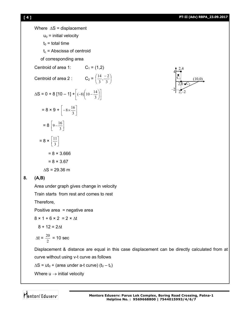$(10,0)$ 

4

2,4

 $2,0$  o $C_2$ 

 $2, -2$ 

–2



**[ 4 ] PT-II (Adv) RBPA\_23.09.2017** Where  $\Delta S$  = displacement  $u_0$  = initial velocity  $t_0$  = total time  $t_c$  = Abscissa of centroid of corresponding area Centroid of area 1:  $C_1 = (1,2)$ Centroid of area 2 :  $C_2 = \left|\frac{17}{2}, \frac{2}{3}\right|$ J  $\left(\frac{14}{2},\frac{-2}{2}\right)$  $\backslash$  $(14 -$ 3  $\frac{4}{3}, \frac{-2}{3}$ 14  $\Delta S = 0 + 8 [10 - 1] + \left[ (-8) \left( 10 - \frac{14}{3} \right) \right]$  $\overline{\phantom{a}}$  $\overline{\mathsf{L}}$  $\left| (-8) \right| 10 - \frac{14}{2}$ J  $\left(10-\frac{14}{2}\right)$  $\overline{\phantom{0}}$  $(-8) \left( 10 - \frac{14}{3} \right)$  $= 8 \times 9 + \left[ -8 \times \frac{10}{3} \right]$  $\overline{\phantom{a}}$  $\overline{\phantom{a}}$  $\left[-8 \times \frac{16}{3}\right]$  $= 8 \left[ 9 - \frac{10}{3} \right]$  $\overline{\phantom{a}}$ L  $9 - \frac{16}{3}$  $= 8 \times \left\lfloor \frac{11}{3} \right\rfloor$  $\overline{\mathcal{L}}$  $\overline{\mathsf{L}}$  $\mathbf{r}$ 3 11  $= 8 \times 3.666$  $= 8 \times 3.67$  $AS = 29.36 m$ **8. (A,B)** Area under graph gives change in velocity

Train starts from rest and comes to rest

Therefore,

Positive area = negative area

 $8 \times 1 + 6 \times 2 = 2 \times \Delta t$ 

$$
8 + 12 = 2\Delta t
$$

$$
\Delta t = \frac{20}{2} = 10 \text{ sec}
$$

Displacement & distance are equal in this case displacement can be directly calculated from at curve without using v-t curve as follows

 $\Delta S$  = ut<sub>0</sub> + (area under a-t curve) (t<sub>0</sub> – t<sub>c</sub>)

Where  $u \rightarrow$  initial velocity

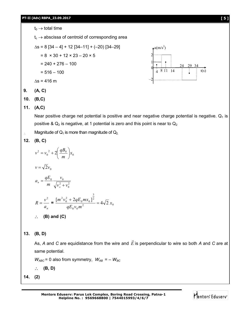**PT-II (Adv) RBPA\_23.09.2017 [ 5 ]** t<sup>0</sup> total time t<sup>c</sup> abscissa of centroid of corresponding area s = 8 [34 – 4] + 12 [34–11] + (–20) [34–29] = 8 × 30 + 12 × 23 – 20 × 5 = 240 + 276 – 100 = 516 – 100 s = 416 m **9. (A, C) 10. (B,C) 11. (A,C)** Near positive charge net potential is positive and near negative charge potential is negative. Q<sup>1</sup> is positive & Q<sup>2</sup> is negative, at 1 potential is zero and this point is near to Q<sup>2</sup> Magnitude of Q<sup>1</sup> is more than magnitude of Q2. **12. (B, C)** 0 2 0 0 2 2 *x m qB v v* 0 *v* 2*v* 2 2 0 0 *v v m x v qE a n* <sup>8</sup> <sup>11</sup> <sup>14</sup> t(s) <sup>0</sup> 1 2 a(m/s<sup>2</sup> ) –2 4 24 29 34

$$
R = \frac{v^2}{a_n} = \frac{[m^2v_0^2 + 2qE_0mx_0]^{\frac{3}{2}}}{qE_0v_0m^2} = 4\sqrt{2}x_0
$$
  
:. **(B) and (C)**

 $\boldsymbol{0}$ 

**13. (B, D)**

As, *A* and *C* are equidistance from the wire and *E*  $\rightarrow$ is perpendicular to wire so both *A* and *C* are at same potential.

 $W_{ABC}$  = 0 also from symmetry,  $W_{AB}$  = –  $W_{BC}$ 

**(B, D)**

**14. (2)**

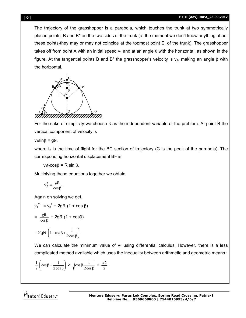The trajectory of the grasshopper is a parabola, which touches the trunk at two symmetrically placed points, B and B\* on the two sides of the trunk (at the moment we don't know anything about these points-they may or may not coincide at the topmost point E. of the trunk). The grasshopper takes off from point A with an initial speed  $v_1$  and at an angle  $\theta$  with the horizontal, as shown in the figure. At the tangential points B and B<sup>\*</sup> the grasshopper's velocity is  $v_2$ , making an angle  $\beta$  with the horizontal.

$$
\overbrace{\mathbf{r}}^{\mathbf{B}}\overbrace{\mathbf{r}}^{\mathbf{B}^{\mathbf{B}^{\mathbf{B}^{\mathbf{B}^{\mathbf{B}}}}}}\mathbf{r}
$$

For the sake of simplicity we choose  $\beta$  as the independent variable of the problem. At point B the vertical component of velocity is

 $v_2$ sin $\beta$  = gt<sub>2</sub>,

where  $t_2$  is the time of flight for the BC section of trajectory (C is the peak of the parabola). The corresponding horizontal displacement BF is

 $v_2t_2\cos\beta = R \sin \beta$ .

Multiplying these equations together we obtain

$$
v_2^2 = \frac{gR}{\cos \beta}.
$$

Again on solving we get,

$$
v_1^2 = v_2^2 + 2gR (1 + \cos \beta)
$$
  
= 
$$
\frac{gR}{\cos \beta} + 2gR (1 + \cos \beta)
$$

$$
= 2gR\left(1+\cos\beta + \frac{1}{2\cos\beta}\right).
$$

We can calculate the minimum value of  $v_1$  using differential calculus. However, there is a less complicated method available which uses the inequality between arithmetic and geometric means :

$$
\frac{1}{2}\left(\cos\beta + \frac{1}{2\cos\beta}\right) > \sqrt{\cos\beta \frac{1}{2\cos\beta}} = \frac{\sqrt{2}}{2}.
$$

Mentors<sup>e</sup> Eduserv<sup>-</sup>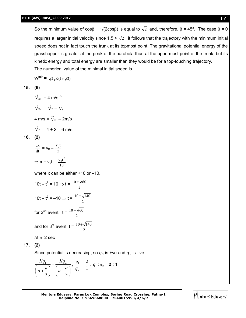So the minimum value of  $cos\beta + 1/(2cos\beta)$  is equal to  $\sqrt{2}$  and, therefore,  $\beta = 45^{\circ}$ . The case  $\beta = 0$ requires a larger initial velocity since 1.5 >  $\sqrt{2}$ ; it follows that the trajectory with the minimum initial speed does not in fact touch the trunk at its topmost point. The gravitational potential energy of the grasshopper is greater at the peak of the parabola than at the uppermost point of the trunk, but its kinetic energy and total energy are smaller than they would be for a top-touching trajectory. The numerical value of the minimal initial speed is  $v_1^{\text{min}} = \sqrt{2gR(1+\sqrt{2})}$ 

$$
15. (6)
$$

 $\vec{V}_{B\ell}$  = 4 m/s  $\uparrow$ 

$$
\vec{V}_{B\ell} = \vec{V}_B - \vec{V}_\ell
$$

$$
4 \text{ m/s} = \vec{V}_B - 2 \text{ m/s}
$$

$$
\vec{V}_{B} = 4 + 2 = 6
$$
 m/s.

# **16. (2)**

$$
\frac{dx}{dt} = v_0 - \frac{v_0 t}{5}
$$

$$
\Rightarrow x = v_0 t - \frac{v_0 t^2}{10}
$$

where x can be either +10 or –10.

$$
10t - t^2 = 10 \Rightarrow t = \frac{10 \pm \sqrt{60}}{2}
$$
  

$$
10t - t^2 = -10 \Rightarrow t = \frac{10 \pm \sqrt{140}}{2}
$$
  
for 2<sup>nd</sup> event,  $t = \frac{10 + \sqrt{60}}{2}$   
and for 3<sup>rd</sup> event,  $t = \frac{10 + \sqrt{140}}{2}$   
 $\Delta t \approx 2 \text{ sec}$   
**17.** (2)

Since potential is decreasing, so  $q_1$  is +ve and  $q_2$  is -ve

$$
\frac{Kq_1}{\left(a+\frac{a}{3}\right)} = \frac{Kq_2}{\left(a-\frac{a}{3}\right)}, \frac{q_1}{q_2} = \frac{2}{1}, q_1:q_2 = \mathbf{2}:\mathbf{1}
$$

**Mentors Eduserv: Parus Lok Complex, Boring Road Crossing, Patna-1 Helpline No. : 9569668800 | 7544015993/4/6/7**

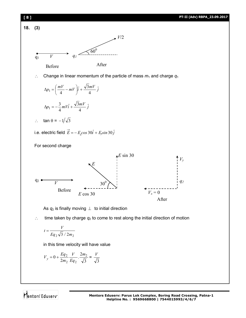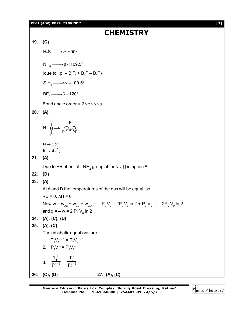**PT-II (ADV) RBPA\_23.09.2017** [ **9** ]

**CHEMISTRY 19. (C)**  $H_2S \longrightarrow \alpha \simeq 90^\circ$  $NH<sub>3</sub> \longrightarrow \beta < 109.5^{\circ}$ (due to  $I.p. - B.P. > B.P - B.P$ )  $SIH<sub>A</sub> \longrightarrow \gamma = 109.5^{\circ}$  $BF_3 \longrightarrow \delta = 120^{\circ}$ Bond angle order =  $\delta$  >  $\gamma$  >  $\beta$  >  $\alpha$ **20. (A)** H N H F F B F H— 3 3  $\mathsf{N} \to \mathsf{Sp}$  $\operatorname{\mathsf{B}}\to\operatorname{\mathsf{Sp}}$  $\rightarrow$  Sp<sup>3</sup>  $\Big\downarrow$ <br> $\rightarrow$  Sp<sup>3</sup>  $\Big\downarrow$ **21. (A)** Due to +R effect of  $-NH_{2}$  group at  $=$  N - H in option A **22. (D) 23. (A)** At A and D the temperatures of the gas will be equal, so  $\Delta E = 0$ ,  $\Delta H = 0$ Now w = w<sub>AB</sub> + w<sub>BC</sub> + w<sub>CD</sub> = – P<sub>0</sub>V<sub>0</sub> – 2P<sub>0</sub>V<sub>0</sub> ln 2 + P<sub>0</sub>V<sub>0</sub> = – 2P<sub>0</sub>V<sub>0</sub> ln 2 and q =  $-$  w = 2  $P_{0}$  V<sub>0</sub> ln 2 **24. (A), (C), (D) 25. (A), (C)** The adiabatic equations are 1.  $T_1V_1^{\gamma-1} = T_2V_2^{\gamma-1}$ 2.  $P_1V_1^{\gamma} = P_2V_2^{\gamma}$ 3.  $\frac{1}{\mathbf{D}^{\gamma-1}}$ 1 1 P T  $\gamma$ γ  $=\frac{1}{\mathbf{D}^{\gamma-1}}$ 2 2 P T  $\gamma$ γ **26. (C), (D) 27. (A), (C)**

**Mentors Eduserv: Parus Lok Complex, Boring Road Crossing, Patna-1 Helpline No. : 9569668800 | 7544015993/4/6/7**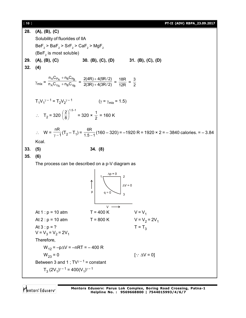[ **10** ] **PT-II (ADV) RBPA\_23.09.2017**

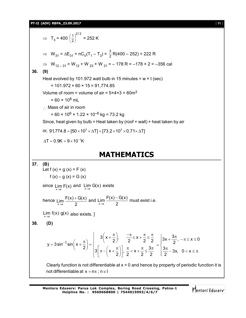**PT-II (ADV) RBPA\_23.09.2017** [ **11** ]

 $\Rightarrow$  T<sub>3</sub> = 400 2/3 2  $\frac{1}{2}$ J  $\left(\frac{1}{2}\right)$  $\backslash$  $\left(\frac{1}{2}\right)^{2/3}$  = 252 K  $\Rightarrow$  W<sub>31</sub> =  $\Delta E_{31}$  = nC<sub>V</sub>(T<sub>1</sub> - T<sub>3</sub>) =  $\frac{3}{2}$ R(400 - 252) = 222 R  $\Rightarrow$  W<sub>12-31</sub> = W<sub>12</sub> + W<sub>23</sub> + W<sub>31</sub> = -178 R = -178 × 2 = -356 cal **36. (9)** Heat evolved by 101.972 watt bulb in 15 minutes =  $w \times t$  (sec)  $= 101.972 \times 60 \times 15 = 91,774.85$ Volume of room = volume of air =  $5 \times 4 \times 3 = 60$ m<sup>3</sup>  $= 60 \times 10^6$  mL  $\therefore$  Mass of air in room  $= 60 \times 10^{6} \times 1.22 \times 10^{-6}$  kg = 73.2 kg Since, heat given by bulb = Heat taken by (roof + wall) + heat taken by air or,  $91,774.8 = [50 \times 10^3 \times \Delta T] + [73.2 \times 10^3 \times 0.71 \times \Delta T]$  $\Lambda T = 0.9K = 9 \times 10^{-1}K$ 

# **MATHEMATICS**

37. **(B)**  
\nLet 
$$
f(x) + g(x) = F(x)
$$
  
\n $f(x) - g(x) = G(x)$   
\nsince  $\lim_{x \to a} F(x)$  and  $\lim_{x \to a} G(x)$  exists  
\nhence  $\lim_{x \to a} \frac{F(x) + G(x)}{2}$  and  $\lim_{x \to a} \frac{F(x) - G(x)}{2}$  must exist i.e.  
\n $\lim_{x \to a} f(x) \cdot g(x)$  also exists. ]  
\n38. **(D)**  
\n
$$
y = 3 \sin^{-1} \sin\left(x + \frac{\pi}{2}\right) = \begin{cases} 3\left(x + \frac{\pi}{2}\right), & \frac{-\pi}{2} \le x + \frac{\pi}{2} \le \frac{\pi}{2} \\ 3\left[\pi - \left(x + \frac{\pi}{2}\right)\right], & \frac{\pi}{2} < x + \frac{\pi}{2} \le \frac{3\pi}{2} \end{cases} = \begin{cases} 3x + \frac{3\pi}{2}, -\pi \le x \le 0 \\ \frac{3\pi}{2} - 3x, & 0 < x \le \pi \end{cases}
$$
\nClearly function is not differentiable at  $x = 0$  and hence by property of periodic function it is not differentiable at  $x = \pi$ ;  $\pi \in I$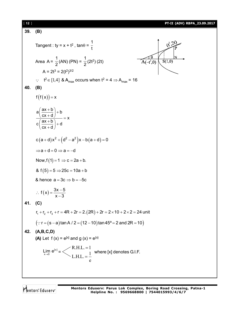[ **12** ] **PT-II (ADV) RBPA\_23.09.2017 39. (B)** 1 Tangent : ty =  $x + t^2$ , tan $\theta$  = t 1 1  $\frac{1}{2}$ (2t<sup>2</sup>) (2t)  $A(-t^2,0)$  $S(1,0)$ Area A =  $\frac{1}{2}$ (AN) (PN) = A =  $2t^3 = 2(t^2)^{3/2}$  $\therefore$   $t^2 \in [1,4]$  & A<sub>max</sub> occurs when  $t^2 = 4 \Rightarrow A_{max} = 16$ **40. (B)**  $f(f(x)) = x$  $a\left(\frac{ax+b}{b}\right)+b$  $\left(\frac{ax+b}{cx+d}\right)+b$ <br>  $\left(\frac{ax+b}{cx+d}\right)+d$  $\frac{c(x+d)}{c(\frac{ax+b}{a})+d} = x$  $cx + d$  $c(a+d)x^2 + (d^2 - a^2)x - b(a+d) = 0$  $\Rightarrow$ a + d = 0  $\Rightarrow$  a = -d Now,  $f(1) = 1 \Rightarrow c = 2a + b$ . &  $f(5) = 5 \implies 25c = 10a + b$ & hence  $a = 3c \Rightarrow b = -5c$  $\therefore f(x) = \frac{3x-1}{2}$  $f(x) = \frac{3x - 5}{x}$  $x - 3$  $\overline{\phantom{0}}$ **41. (C)**  $r_1 + r_2 + r_3 + r = 4R + 2r = 2.(2R) + 2r = 2 \times 10 + 2 \times 2 = 24$  unit  $(x \cdot r = (s - a) \tan A / 2 = (12 - 10) \tan 45^\circ = 2$  and  $2R = 10$ **42. (A,B,C,D) (A)** Let  $f(x) = e^{[x]}$  and  $g(x) = e^{[x]}$  $R.H.L. = 1$  $=$ [x]  $\lim_{x\to 0} e^{\vert x\vert} =$  where [x] denotes G.I.F. $L.H.L. = \frac{1}{1}$  $=$ e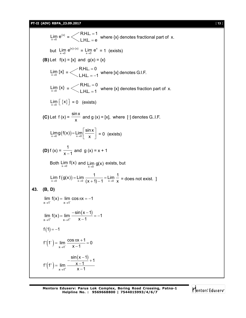### **PT-II (ADV) RBPA\_23.09.2017** [ **13** ]

{x}  $\lim_{x\to 0} e^{x} =$  $R.H.L. = 1$  $L.H.L. = e$  $=$ where  $\{x\}$  denotes fractional part of  $x$ . but  $\lim_{x\to 0} e^{x} = \lim_{x\to 0} e^{x}$  $\lim_{x\to 0} e^x = 1$  (exists) **(B)** Let  $f(x) = [x]$  and  $g(x) = \{x\}$  $\lim_{x\to 0} [x] =$  $R.H.L. = 0$  $L.H.L. = -1$  $=$  $=-1$  where [x] denotes G.I.F.  $\lim_{x\to 0} \{x\} =$  $R.H.L. = 0$  $L.H.L.=1$  $=$  $=$  1 where {x} denotes fraction part of  $x$ .  $\lim_{x\to 0} \lfloor \{x\} \rfloor = 0$  (exists) **(C)** Let f (x) = sinx  $\frac{100}{x}$  and g (x) = [x], where [·] denotes G..I.F.  $\lim_{x\to 0} g(f(x)) = \lim_{x\to 0} \left[ \frac{\sin x}{x} \right] = 0$  (exists) **(D)** f (x) = 1  $\frac{1}{x-1}$  and g (x) = x + 1 Both  $\lim_{x\to 0} f(x)$  and  $\lim_{x\to 0} g(x)$  exists, but Lim  $f(g(x)) = \lim_{x \to 0} \frac{1}{(x+1)-1} = \lim_{x \to 0} \frac{1}{x}$  $\frac{1}{x+1}-1$  = LIM  $\frac{1}{x}\times0$  = does not exist. ] **43. (B, D)**  $x \rightarrow 1$   $x \rightarrow 1$  $\lim f(x) = \lim \cos \pi x = -1$  $(x-1)$  $x \rightarrow 1^+$   $x \rightarrow 1^+$  $\lim f(x) = \lim \frac{-\sin(x-1)}{1} = -1$  $x \to 1^+$   $x \to 1^+$   $x-1$ =  $\lim \frac{-\sin(x-1)}{1} = -1$  $\overline{\phantom{0}}$  $f(1) = -1$  $(1)$  =  $\lim_{x\to 1^-}$  $f'(1^-) = \lim \frac{\cos \pi x + 1}{4} = 0$  $- x - 1$ - $\rightarrow$ =  $\lim \frac{\cos \pi x + 1}{4} = 0$  $\overline{\phantom{a}}$  $(1^{\circ})^{\circ}$  $(x - 1)$  $x \rightarrow 1^+$  $\frac{\sin(x-1)}{1} + 1$  $f'(1^+) = \lim_{x \to 1^+} \frac{x-1}{x-1}$  $\rightarrow$  $-\frac{\sin(x-1)}{1}+1$  $=$  lim  $\frac{\mathsf{x}-\mathsf{x}}{\mathsf{y}-\mathsf{x}}$ -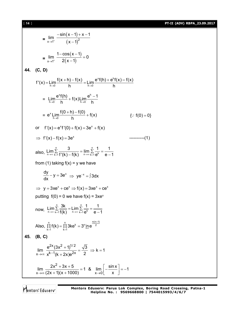[ **14** ] **PT-II (ADV) RBPA\_23.09.2017**

$$
\lim_{x \to 1^{+}} \frac{-\sin(x-1) + x - 1}{(x-1)^{2}}
$$
\n
$$
= \lim_{x \to 1^{+}} \frac{1 - \cos(x-1)}{2(x-1)} = 0
$$
\n44. (C, D)  
\n
$$
f'(x) = \lim_{x \to 0} \frac{f(x+h) - f(x)}{h} = \lim_{h \to 0} \frac{e^{x}f(h) + e^{h}f(x) - f(x)}{h}
$$
\n
$$
= \lim_{h \to 0} \frac{e^{x}f(h)}{h} + f(x) \lim_{h \to 0} \frac{e^{h} - 1}{h}
$$
\n
$$
= e^{x} \lim_{h \to 0} \frac{f(0+h) - f(0)}{h} + f(x) \qquad \{\because f(0) = 0\}
$$
\nor  $f'(x) = e^{x}f'(0) + f(x) = 3e^{x} + f(x)$   
\n
$$
\Rightarrow f'(x) - f(x) = 3e^{x}
$$
\n
$$
\Rightarrow f'(x) - f(x) = 3e^{x}
$$
\n
$$
\Rightarrow f'(x) - f(x) = 3e^{x}
$$
\n
$$
\Rightarrow f'(x) - f(x) = 3e^{x}
$$
\n
$$
\Rightarrow f'(x) - f(x) = 3e^{x}
$$
\n
$$
\Rightarrow f'(x) - f(x) = 3e^{x}
$$
\n
$$
\Rightarrow f'(x) = 3e^{x} \Rightarrow 3e^{x} = 3 \text{ d}x
$$
\n
$$
\Rightarrow y = 3xe^{x} + ce^{x} \Rightarrow f(x) = 3xe^{x} + ce^{x}
$$
\n
$$
\Rightarrow f'(x) = 3xe^{x} + ce^{x}
$$
\n
$$
\Rightarrow f'(x) = 3xe^{x} + ce^{x}
$$
\n
$$
\Rightarrow f'(x) = 3xe^{x} + ce^{x}
$$
\n
$$
\Rightarrow f'(x) = 3xe^{x} + ce^{x}
$$
\n
$$
\Rightarrow f'(x) = 3xe^{x} + ce^{x}
$$
\n
$$
\Rightarrow f'(x) = 3xe^{x} + ce^{x}
$$
\n
$$
\Rightarrow f'(x) = 3xe^{x} + ce^{x}
$$
\n
$$
\Rightarrow f'(x) = 3xe^{x} + ce^{x}
$$
\n
$$
\Rightarrow f'(
$$

Mentors<sup>e</sup> Eduserv<sup>-</sup>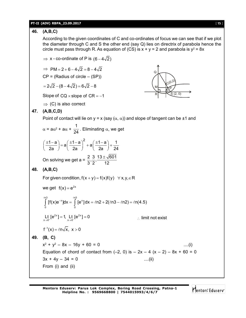## **PT-II (ADV) RBPA\_23.09.2017** [ **15** ]

# **46. (A,B,C)**

According to the given coordinates of C and co-ordinates of focus we can see that if we plot the diameter through C and S the other end (say Q) lies on directrix of parabola hence the circle must pass through R. As equation of (CS) is  $x + y = 2$  and parabola is  $y^2 = 8x$ 

 $\Rightarrow$  x - co-ordinate of P is  $(6-4\sqrt{2})$ 

 $\Rightarrow$  PM = 2 + 6 - 4 $\sqrt{2}$  = 8 - 4 $\sqrt{2}$ 

 $CP = (Radius of circle – (SP))$ 

 $= 2\sqrt{2} - (8 - 4\sqrt{2}) = 6\sqrt{2} - 8$ 

Slope of  $CQ \times$ slope of  $CR = -1$ 

 $\Rightarrow$  (C) is also correct



# **47. (A,B,C,D)**

Point of contact will lie on  $y = x$  (say ( $\alpha$ ,  $\alpha$ )) and slope of tangent can be ±1 and

 $\alpha$  = a $\alpha$ <sup>2</sup> + a $\alpha$  + 1  $\frac{1}{24}$  . Eliminating  $\alpha$ , we get

$$
\left(\frac{\pm 1 - a}{2a}\right) = a \left(\frac{\pm 1 - a}{2a}\right)^2 + a \left(\frac{\pm 1 - a}{2a}\right) + \frac{1}{24}
$$
  
2 3 13 + \sqrt{601}

On solving we get a =  $\frac{2}{5}$ ,  $\frac{3}{5}$ ,  $\frac{13 \pm \sqrt{601}}{40}$  $3'2'$  12  $\pm$ 

**48. (A,B,C)**

For given condition,  $f(x + y) = f(x)f(y) \quad \forall x, y, \in R$ 

we get  $f(x) = e^{2x}$ 

$$
\int_{0}^{\ln 3} [f(x)e^{-x}]dx = \int_{0}^{\ln 3} [e^{x}]dx = \ln 2 + 2(\ln 3 - \ln 2) = \ln(4.5)
$$

$$
Lt_{x\to 0^+}[e^{2x}] = 1, Lt_{x\to 0^-}[e^{2x}] = 0
$$
  
  $\therefore$  limit not exist

$$
f^{-1}(x)=\ell n\sqrt{x},\ x>0
$$

**49. (B, C)**

 $x^2 + y^2 - 8x - 16y + 60 = 0$  ....(i) Equation of chord of contact from  $(-2, 0)$  is  $- 2x - 4(x - 2) - 8x + 60 = 0$  $3x + 4y - 34 = 0$  ....(ii) From (i) and (ii)

Mentors<sup>®</sup> Eduserv<sup>®</sup>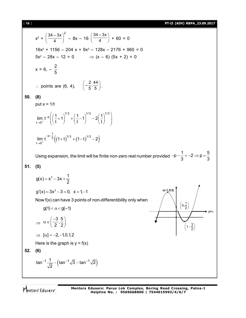[ **16** ] **PT-II (ADV) RBPA\_23.09.2017**  $x^2 + \left(\frac{34 - 3x}{4}\right)^2$  $\left(\frac{-3x}{4}\right)^2$  – 8x – 16  $\left(\frac{34-3x}{4}\right)^2$  $\frac{1}{4}$  + 60 = 0  $16x^2 + 1156 - 204x + 9x^2 - 128x - 2176 + 960 = 0$  $5x^2 - 28x - 12 = 0$   $\Rightarrow$   $(x - 6) (5x + 2) = 0$  $x = 6, -\frac{2}{5}$ 5  $\therefore$  points are (6, 4),  $\left(-\frac{2}{5}, \frac{44}{5}\right)$ . **50. (8)** put  $x = 1/t$ 1/3  $(1.3)$   $(1.3)$   $(1.3)$ p t $\rightarrow 0$  $\lim_{t \to \infty} t^{-p} \left( \left( \frac{1}{t} + 1 \right)^{1/3} + \left( \frac{1}{t} - 1 \right)^{1/3} - 2 \left( \frac{1}{t} \right)^{1/3} \right)$  $t + \left( \begin{pmatrix} t \\ t \end{pmatrix} \right) - \left( \begin{pmatrix} t \\ t \end{pmatrix} \right) - \left( \begin{pmatrix} t \\ t \end{pmatrix}$  $\overline{a}$  $\lim_{t\to 0^+} t^{-p} \left( \left( \frac{1}{t} + 1 \right)^{1/3} + \left( \frac{1}{t} - 1 \right)^{1/3} - 2 \left( \frac{1}{t} \right)^{1/3} \right)$  $((1+t)^{n}+(1-t)^{n}-2)$  $p-\frac{1}{3}((1+1)^{1/3}+(1-1)^{1/3})$  $t\rightarrow 0^{-}$  $\lim_{x \to 0^+} t^{-3} ((1+t)^{15} + (1-t)^{15} - 2)$  $-p-\frac{1}{2}$  $\rightarrow$  $(+t)$   $+$   $(+(1-t)$   $-2$ Using expansion, the limit will be finite non-zero real number provided  $-p - \frac{1}{2} = -2 \Rightarrow p = \frac{5}{2}$ 3 3  $-p-\frac{1}{2}=-2 \Rightarrow p=\frac{1}{2}$ **51. (5)**  $g(x) = x^3 - 3x + \frac{1}{2}$ 2  $g'(x) = 3x^2 - 3 = 0$ ,  $x = 1, -1$ Now f(x) can have 3 points of non-differentibility only when  $g(1) < \alpha < g(-1)$ **x(-1,5/2) y=**  $\left(1, -\frac{3}{2}\right)$  $1, -\frac{3}{2}$  $\left(0,\frac{1}{2}\right)$  $0, \frac{1}{2}$  $\Rightarrow$  $\alpha \in \left(\frac{-3}{2},\frac{5}{2}\right)$  $2^{\prime}2$  $\Rightarrow$   $[\alpha ] = -2, -1, 0, 1, 2$ Here is the graph is  $y = f(x)$ **52. (6)** (tan ∵√*3* – tan ∵√2 ) ¦ tan<sup>-1</sup>  $\frac{1}{\sqrt{2}}$  - (tan<sup>-1</sup> $\sqrt{3}$  - tan<sup>-1</sup> $\sqrt{2}$ ) 2  $\frac{-1}{\sqrt{2}} - (\tan^{-1}\sqrt{3} - \tan^{-1}\sqrt{3})$